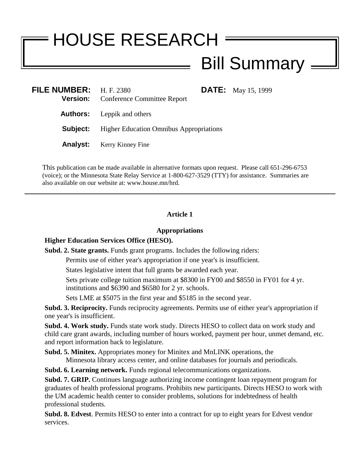# HOUSE RESEARCH

# Bill Summary

| FILE NUMBER: $H.F. 2380$ | <b>Version:</b> Conference Committee Report    |  | <b>DATE:</b> May 15, 1999 |
|--------------------------|------------------------------------------------|--|---------------------------|
|                          | <b>Authors:</b> Leppik and others              |  |                           |
| Subject:                 | <b>Higher Education Omnibus Appropriations</b> |  |                           |
|                          | <b>Analyst:</b> Kerry Kinney Fine              |  |                           |
|                          |                                                |  |                           |

This publication can be made available in alternative formats upon request. Please call 651-296-6753 (voice); or the Minnesota State Relay Service at 1-800-627-3529 (TTY) for assistance. Summaries are also available on our website at: www.house.mn/hrd.

#### **Article 1**

#### **Appropriations**

#### **Higher Education Services Office (HESO).**

**Subd. 2. State grants.** Funds grant programs. Includes the following riders:

Permits use of either year's appropriation if one year's is insufficient.

States legislative intent that full grants be awarded each year.

Sets private college tuition maximum at \$8300 in FY00 and \$8550 in FY01 for 4 yr. institutions and \$6390 and \$6580 for 2 yr. schools.

Sets LME at \$5075 in the first year and \$5185 in the second year.

**Subd. 3. Reciprocity.** Funds reciprocity agreements. Permits use of either year's appropriation if one year's is insufficient.

**Subd. 4. Work study.** Funds state work study. Directs HESO to collect data on work study and child care grant awards, including number of hours worked, payment per hour, unmet demand, etc. and report information back to legislature.

**Subd. 5. Minitex.** Appropriates money for Minitex and MnLINK operations, the Minnesota library access center, and online databases for journals and periodicals.

**Subd. 6. Learning network.** Funds regional telecommunications organizations.

**Subd. 7. GRIP.** Continues language authorizing income contingent loan repayment program for graduates of health professional programs. Prohibits new participants. Directs HESO to work with the UM academic health center to consider problems, solutions for indebtedness of health professional students.

**Subd. 8. Edvest**. Permits HESO to enter into a contract for up to eight years for Edvest vendor services.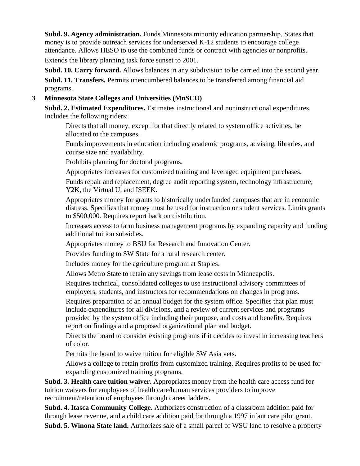**Subd. 9. Agency administration.** Funds Minnesota minority education partnership. States that money is to provide outreach services for underserved K-12 students to encourage college attendance. Allows HESO to use the combined funds or contract with agencies or nonprofits. Extends the library planning task force sunset to 2001.

**Subd. 10. Carry forward.** Allows balances in any subdivision to be carried into the second year.

**Subd. 11. Transfers.** Permits unencumbered balances to be transferred among financial aid programs.

## **3 Minnesota State Colleges and Universities (MnSCU)**

**Subd. 2. Estimated Expenditures.** Estimates instructional and noninstructional expenditures. Includes the following riders:

Directs that all money, except for that directly related to system office activities, be allocated to the campuses.

Funds improvements in education including academic programs, advising, libraries, and course size and availability.

Prohibits planning for doctoral programs.

Appropriates increases for customized training and leveraged equipment purchases.

Funds repair and replacement, degree audit reporting system, technology infrastructure, Y2K, the Virtual U, and ISEEK.

Appropriates money for grants to historically underfunded campuses that are in economic distress. Specifies that money must be used for instruction or student services. Limits grants to \$500,000. Requires report back on distribution.

Increases access to farm business management programs by expanding capacity and funding additional tuition subsidies.

Appropriates money to BSU for Research and Innovation Center.

Provides funding to SW State for a rural research center.

Includes money for the agriculture program at Staples.

Allows Metro State to retain any savings from lease costs in Minneapolis.

Requires technical, consolidated colleges to use instructional advisory committees of employers, students, and instructors for recommendations on changes in programs.

Requires preparation of an annual budget for the system office. Specifies that plan must include expenditures for all divisions, and a review of current services and programs provided by the system office including their purpose, and costs and benefits. Requires report on findings and a proposed organizational plan and budget.

Directs the board to consider existing programs if it decides to invest in increasing teachers of color.

Permits the board to waive tuition for eligible SW Asia vets.

Allows a college to retain profits from customized training. Requires profits to be used for expanding customized training programs.

**Subd. 3. Health care tuition waiver.** Appropriates money from the health care access fund for tuition waivers for employees of health care/human services providers to improve recruitment/retention of employees through career ladders.

**Subd. 4. Itasca Community College.** Authorizes construction of a classroom addition paid for through lease revenue, and a child care addition paid for through a 1997 infant care pilot grant.

**Subd. 5. Winona State land.** Authorizes sale of a small parcel of WSU land to resolve a property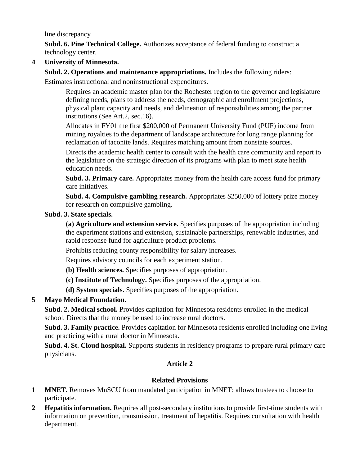line discrepancy

**Subd. 6. Pine Technical College.** Authorizes acceptance of federal funding to construct a technology center.

**4 University of Minnesota.**

**Subd. 2. Operations and maintenance appropriations.** Includes the following riders:

Estimates instructional and noninstructional expenditures.

Requires an academic master plan for the Rochester region to the governor and legislature defining needs, plans to address the needs, demographic and enrollment projections, physical plant capacity and needs, and delineation of responsibilities among the partner institutions (See Art.2, sec.16).

Allocates in FY01 the first \$200,000 of Permanent University Fund (PUF) income from mining royalties to the department of landscape architecture for long range planning for reclamation of taconite lands. Requires matching amount from nonstate sources.

Directs the academic health center to consult with the health care community and report to the legislature on the strategic direction of its programs with plan to meet state health education needs.

**Subd. 3. Primary care.** Appropriates money from the health care access fund for primary care initiatives.

**Subd. 4. Compulsive gambling research.** Appropriates \$250,000 of lottery prize money for research on compulsive gambling.

#### **Subd. 3. State specials.**

**(a) Agriculture and extension service.** Specifies purposes of the appropriation including the experiment stations and extension, sustainable partnerships, renewable industries, and rapid response fund for agriculture product problems.

Prohibits reducing county responsibility for salary increases.

Requires advisory councils for each experiment station.

- **(b) Health sciences.** Specifies purposes of appropriation.
- **(c) Institute of Technology.** Specifies purposes of the appropriation.
- **(d) System specials.** Specifies purposes of the appropriation.

#### **5 Mayo Medical Foundation.**

**Subd. 2. Medical school.** Provides capitation for Minnesota residents enrolled in the medical school. Directs that the money be used to increase rural doctors.

**Subd. 3. Family practice.** Provides capitation for Minnesota residents enrolled including one living and practicing with a rural doctor in Minnesota.

**Subd. 4. St. Cloud hospital.** Supports students in residency programs to prepare rural primary care physicians.

#### **Article 2**

#### **Related Provisions**

- **1 MNET.** Removes MnSCU from mandated participation in MNET; allows trustees to choose to participate.
- **2 Hepatitis information.** Requires all post-secondary institutions to provide first-time students with information on prevention, transmission, treatment of hepatitis. Requires consultation with health department.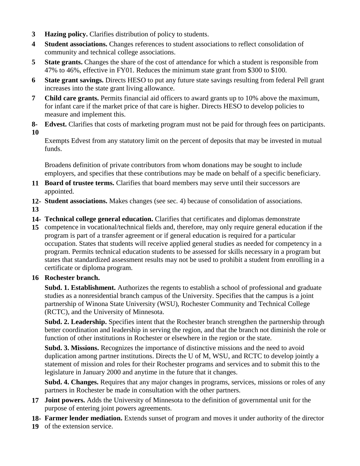- **3 Hazing policy.** Clarifies distribution of policy to students.
- **4 Student associations.** Changes references to student associations to reflect consolidation of community and technical college associations.
- **5 State grants.** Changes the share of the cost of attendance for which a student is responsible from 47% to 46%, effective in FY01. Reduces the minimum state grant from \$300 to \$100.
- **6 State grant savings.** Directs HESO to put any future state savings resulting from federal Pell grant increases into the state grant living allowance.
- **7 Child care grants.** Permits financial aid officers to award grants up to 10% above the maximum, for infant care if the market price of that care is higher. Directs HESO to develop policies to measure and implement this.
- **8- 10 Edvest.** Clarifies that costs of marketing program must not be paid for through fees on participants.

Exempts Edvest from any statutory limit on the percent of deposits that may be invested in mutual funds.

Broadens definition of private contributors from whom donations may be sought to include employers, and specifies that these contributions may be made on behalf of a specific beneficiary.

- **11 Board of trustee terms.** Clarifies that board members may serve until their successors are appointed.
- **12- Student associations.** Makes changes (see sec. 4) because of consolidation of associations.
- **13**
- **14- Technical college general education.** Clarifies that certificates and diplomas demonstrate
- **15** competence in vocational/technical fields and, therefore, may only require general education if the program is part of a transfer agreement or if general education is required for a particular occupation. States that students will receive applied general studies as needed for competency in a program. Permits technical education students to be assessed for skills necessary in a program but states that standardized assessment results may not be used to prohibit a student from enrolling in a certificate or diploma program.

#### **16 Rochester branch.**

**Subd. 1. Establishment.** Authorizes the regents to establish a school of professional and graduate studies as a nonresidential branch campus of the University. Specifies that the campus is a joint partnership of Winona State University (WSU), Rochester Community and Technical College (RCTC), and the University of Minnesota.

**Subd. 2. Leadership.** Specifies intent that the Rochester branch strengthen the partnership through better coordination and leadership in serving the region, and that the branch not diminish the role or function of other institutions in Rochester or elsewhere in the region or the state.

**Subd. 3. Missions.** Recognizes the importance of distinctive missions and the need to avoid duplication among partner institutions. Directs the U of M, WSU, and RCTC to develop jointly a statement of mission and roles for their Rochester programs and services and to submit this to the legislature in January 2000 and anytime in the future that it changes.

**Subd. 4. Changes.** Requires that any major changes in programs, services, missions or roles of any partners in Rochester be made in consultation with the other partners.

- **17 Joint powers.** Adds the University of Minnesota to the definition of governmental unit for the purpose of entering joint powers agreements.
- **18- Farmer lender mediation.** Extends sunset of program and moves it under authority of the director
- **19**  of the extension service.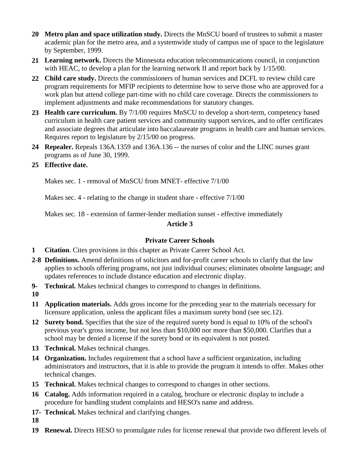- **20 Metro plan and space utilization study.** Directs the MnSCU board of trustees to submit a master academic plan for the metro area, and a systemwide study of campus use of space to the legislature by September, 1999.
- **21 Learning network.** Directs the Minnesota education telecommunications council, in conjunction with HEAC, to develop a plan for the learning network II and report back by 1/15/00.
- **22 Child care study.** Directs the commissioners of human services and DCFL to review child care program requirements for MFIP recipients to determine how to serve those who are approved for a work plan but attend college part-time with no child care coverage. Directs the commissioners to implement adjustments and make recommendations for statutory changes.
- **23 Health care curriculum.** By 7/1/00 requires MnSCU to develop a short-term, competency based curriculum in health care patient services and community support services, and to offer certificates and associate degrees that articulate into baccalaureate programs in health care and human services. Requires report to legislature by 2/15/00 on progress.
- **24 Repealer.** Repeals 136A.1359 and 136A.136 -- the nurses of color and the LINC nurses grant programs as of June 30, 1999.
- **25 Effective date.**

Makes sec. 1 - removal of MnSCU from MNET- effective 7/1/00

Makes sec. 4 - relating to the change in student share - effective 7/1/00

Makes sec. 18 - extension of farmer-lender mediation sunset - effective immediately

## **Article 3**

# **Private Career Schools**

- **1 Citation**. Cites provisions in this chapter as Private Career School Act.
- **2-8 Definitions.** Amend definitions of solicitors and for-profit career schools to clarify that the law applies to schools offering programs, not just individual courses; eliminates obsolete language; and updates references to include distance education and electronic display.
- **9- Technical.** Makes technical changes to correspond to changes in definitions.
- **10**
- **11 Application materials.** Adds gross income for the preceding year to the materials necessary for licensure application, unless the applicant files a maximum surety bond (see sec.12).
- **12 Surety bond.** Specifies that the size of the required surety bond is equal to 10% of the school's previous year's gross income, but not less than \$10,000 nor more than \$50,000. Clarifies that a school may be denied a license if the surety bond or its equivalent is not posted.
- **13 Technical.** Makes technical changes.
- **14 Organization.** Includes requirement that a school have a sufficient organization, including administrators and instructors, that it is able to provide the program it intends to offer. Makes other technical changes.
- **15 Technical.** Makes technical changes to correspond to changes in other sections.
- **16 Catalog.** Adds information required in a catalog, brochure or electronic display to include a procedure for handling student complaints and HESO's name and address.
- **17- Technical.** Makes technical and clarifying changes.
- **18**
- **19 Renewal.** Directs HESO to promulgate rules for license renewal that provide two different levels of